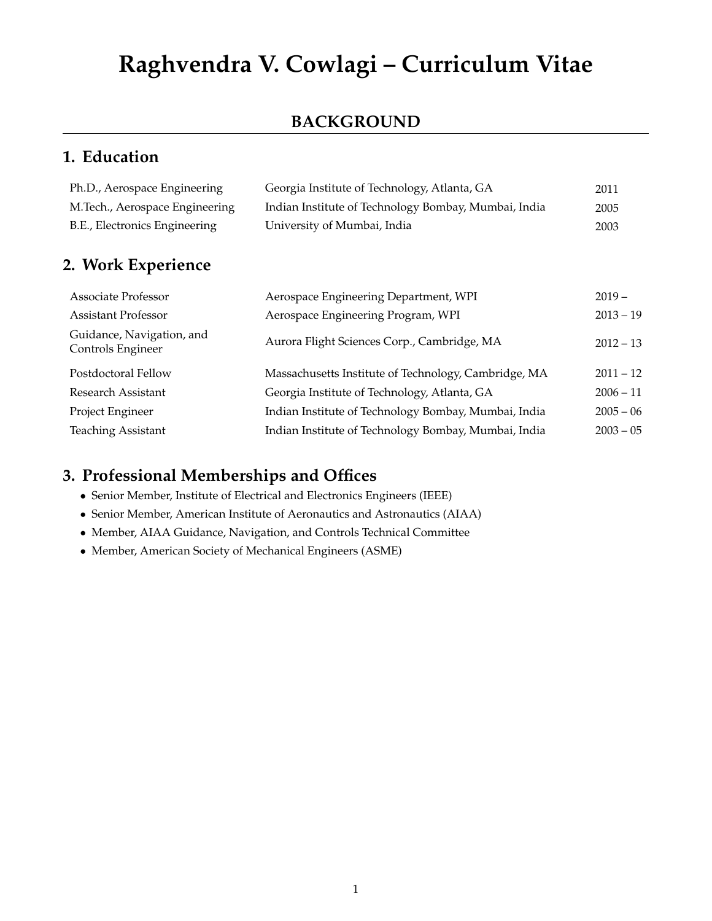# **Raghvendra V. Cowlagi – Curriculum Vitae**

### **BACKGROUND**

# **1. Education**

| Ph.D., Aerospace Engineering   | Georgia Institute of Technology, Atlanta, GA         | 2011 |
|--------------------------------|------------------------------------------------------|------|
| M.Tech., Aerospace Engineering | Indian Institute of Technology Bombay, Mumbai, India | 2005 |
| B.E., Electronics Engineering  | University of Mumbai, India                          | 2003 |

# **2. Work Experience**

| Associate Professor                            | Aerospace Engineering Department, WPI                | $2019 -$    |
|------------------------------------------------|------------------------------------------------------|-------------|
| <b>Assistant Professor</b>                     | Aerospace Engineering Program, WPI                   | $2013 - 19$ |
| Guidance, Navigation, and<br>Controls Engineer | Aurora Flight Sciences Corp., Cambridge, MA          | $2012 - 13$ |
| Postdoctoral Fellow                            | Massachusetts Institute of Technology, Cambridge, MA | $2011 - 12$ |
| Research Assistant                             | Georgia Institute of Technology, Atlanta, GA         | $2006 - 11$ |
| Project Engineer                               | Indian Institute of Technology Bombay, Mumbai, India | $2005 - 06$ |
| <b>Teaching Assistant</b>                      | Indian Institute of Technology Bombay, Mumbai, India | $2003 - 05$ |

### **3. Professional Memberships and Offices**

- Senior Member, Institute of Electrical and Electronics Engineers (IEEE)
- Senior Member, American Institute of Aeronautics and Astronautics (AIAA)
- Member, AIAA Guidance, Navigation, and Controls Technical Committee
- Member, American Society of Mechanical Engineers (ASME)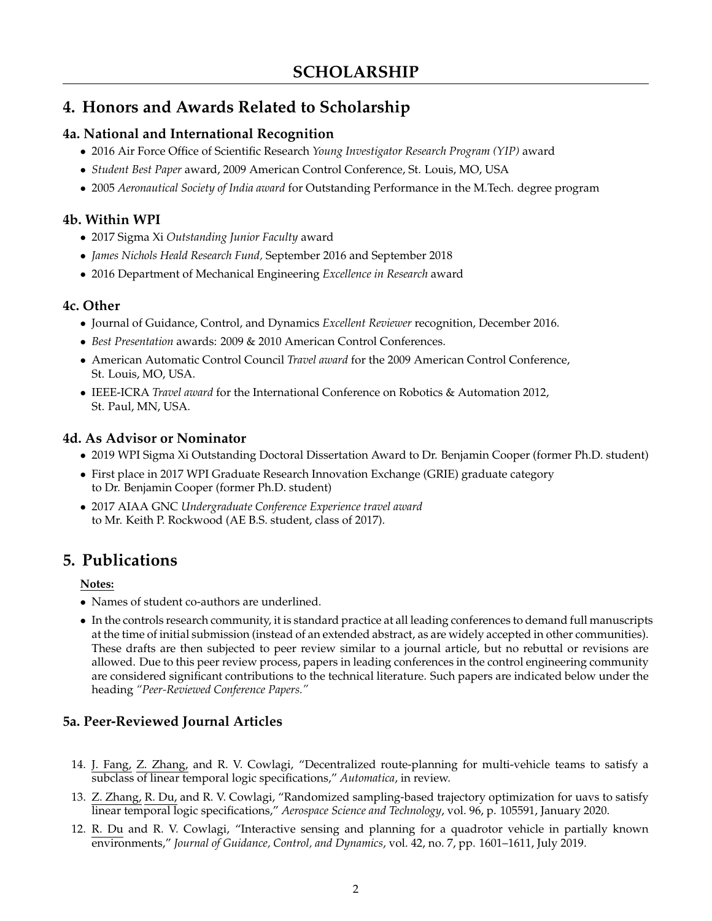# **4. Honors and Awards Related to Scholarship**

#### **4a. National and International Recognition**

- 2016 Air Force Office of Scientific Research *Young Investigator Research Program (YIP)* award
- *Student Best Paper* award, 2009 American Control Conference, St. Louis, MO, USA
- 2005 *Aeronautical Society of India award* for Outstanding Performance in the M.Tech. degree program

#### **4b. Within WPI**

- 2017 Sigma Xi *Outstanding Junior Faculty* award
- *James Nichols Heald Research Fund,* September 2016 and September 2018
- 2016 Department of Mechanical Engineering *Excellence in Research* award

#### **4c. Other**

- Journal of Guidance, Control, and Dynamics *Excellent Reviewer* recognition, December 2016.
- *Best Presentation* awards: 2009 & 2010 American Control Conferences.
- American Automatic Control Council *Travel award* for the 2009 American Control Conference, St. Louis, MO, USA.
- IEEE-ICRA *Travel award* for the International Conference on Robotics & Automation 2012, St. Paul, MN, USA.

#### **4d. As Advisor or Nominator**

- 2019 WPI Sigma Xi Outstanding Doctoral Dissertation Award to Dr. Benjamin Cooper (former Ph.D. student)
- First place in 2017 WPI Graduate Research Innovation Exchange (GRIE) graduate category to Dr. Benjamin Cooper (former Ph.D. student)
- 2017 AIAA GNC *Undergraduate Conference Experience travel award* to Mr. Keith P. Rockwood (AE B.S. student, class of 2017).

# <span id="page-1-0"></span>**5. Publications**

#### **Notes:**

- Names of student co-authors are underlined.
- In the controls research community, it is standard practice at all leading conferences to demand full manuscripts at the time of initial submission (instead of an extended abstract, as are widely accepted in other communities). These drafts are then subjected to peer review similar to a journal article, but no rebuttal or revisions are allowed. Due to this peer review process, papers in leading conferences in the control engineering community are considered significant contributions to the technical literature. Such papers are indicated below under the heading *"Peer-Reviewed Conference Papers."*

### **5a. Peer-Reviewed Journal Articles**

- 14. J. Fang, Z. Zhang, and R. V. Cowlagi, "Decentralized route-planning for multi-vehicle teams to satisfy a subclass of linear temporal logic specifications," *Automatica*, in review.
- 13. Z. Zhang, R. Du, and R. V. Cowlagi, "Randomized sampling-based trajectory optimization for uavs to satisfy linear temporal logic specifications," *Aerospace Science and Technology*, vol. 96, p. 105591, January 2020.
- 12. R. Du and R. V. Cowlagi, "Interactive sensing and planning for a quadrotor vehicle in partially known environments," *Journal of Guidance, Control, and Dynamics*, vol. 42, no. 7, pp. 1601–1611, July 2019.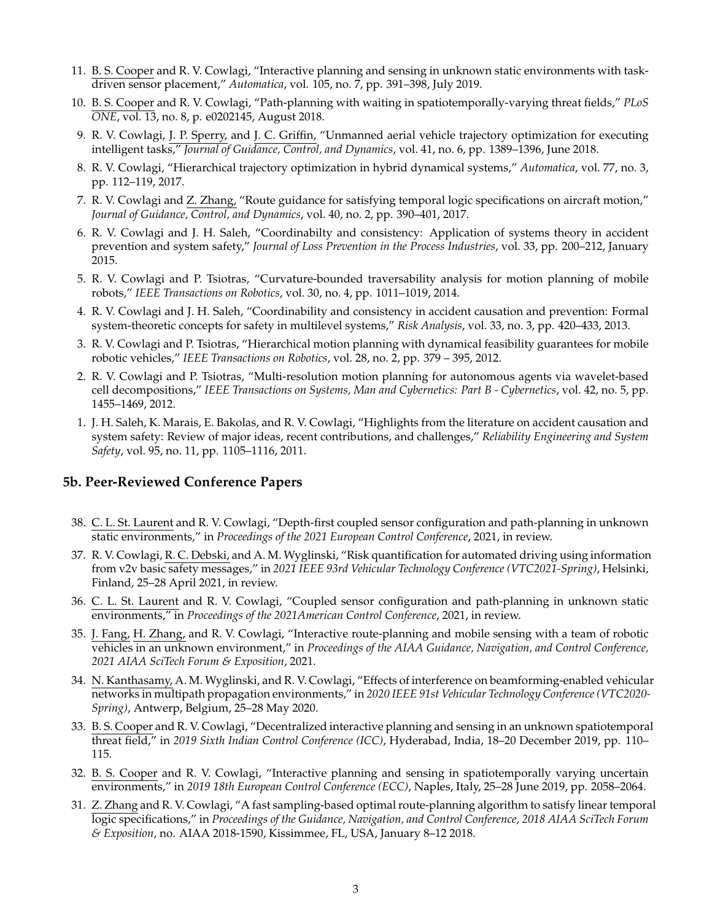- 11. B. S. Cooper and R. V. Cowlagi, "Interactive planning and sensing in unknown static environments with taskdriven sensor placement," *Automatica*, vol. 105, no. 7, pp. 391–398, July 2019.
- 10. B. S. Cooper and R. V. Cowlagi, "Path-planning with waiting in spatiotemporally-varying threat fields," *PLoS ONE*, vol. 13, no. 8, p. e0202145, August 2018.
- 9. R. V. Cowlagi, J. P. Sperry, and J. C. Griffin, "Unmanned aerial vehicle trajectory optimization for executing intelligent tasks," *Journal of Guidance, Control, and Dynamics*, vol. 41, no. 6, pp. 1389–1396, June 2018.
- 8. R. V. Cowlagi, "Hierarchical trajectory optimization in hybrid dynamical systems," *Automatica*, vol. 77, no. 3, pp. 112–119, 2017.
- 7. R. V. Cowlagi and Z. Zhang, "Route guidance for satisfying temporal logic specifications on aircraft motion," *Journal of Guidance, Control, and Dynamics*, vol. 40, no. 2, pp. 390–401, 2017.
- 6. R. V. Cowlagi and J. H. Saleh, "Coordinabilty and consistency: Application of systems theory in accident prevention and system safety," *Journal of Loss Prevention in the Process Industries*, vol. 33, pp. 200–212, January 2015.
- 5. R. V. Cowlagi and P. Tsiotras, "Curvature-bounded traversability analysis for motion planning of mobile robots," *IEEE Transactions on Robotics*, vol. 30, no. 4, pp. 1011–1019, 2014.
- 4. R. V. Cowlagi and J. H. Saleh, "Coordinability and consistency in accident causation and prevention: Formal system-theoretic concepts for safety in multilevel systems," *Risk Analysis*, vol. 33, no. 3, pp. 420–433, 2013.
- 3. R. V. Cowlagi and P. Tsiotras, "Hierarchical motion planning with dynamical feasibility guarantees for mobile robotic vehicles," *IEEE Transactions on Robotics*, vol. 28, no. 2, pp. 379 – 395, 2012.
- 2. R. V. Cowlagi and P. Tsiotras, "Multi-resolution motion planning for autonomous agents via wavelet-based cell decompositions," *IEEE Transactions on Systems, Man and Cybernetics: Part B - Cybernetics*, vol. 42, no. 5, pp. 1455–1469, 2012.
- 1. J. H. Saleh, K. Marais, E. Bakolas, and R. V. Cowlagi, "Highlights from the literature on accident causation and system safety: Review of major ideas, recent contributions, and challenges," *Reliability Engineering and System Safety*, vol. 95, no. 11, pp. 1105–1116, 2011.

#### **5b. Peer-Reviewed Conference Papers**

- 38. C. L. St. Laurent and R. V. Cowlagi, "Depth-first coupled sensor configuration and path-planning in unknown static environments," in *Proceedings of the 2021 European Control Conference*, 2021, in review.
- 37. R. V. Cowlagi, R. C. Debski, and A. M. Wyglinski, "Risk quantification for automated driving using information from v2v basic safety messages," in *2021 IEEE 93rd Vehicular Technology Conference (VTC2021-Spring)*, Helsinki, Finland, 25–28 April 2021, in review.
- 36. C. L. St. Laurent and R. V. Cowlagi, "Coupled sensor configuration and path-planning in unknown static environments," in *Proceedings of the 2021American Control Conference*, 2021, in review.
- 35. J. Fang, H. Zhang, and R. V. Cowlagi, "Interactive route-planning and mobile sensing with a team of robotic vehicles in an unknown environment," in *Proceedings of the AIAA Guidance, Navigation, and Control Conference, 2021 AIAA SciTech Forum & Exposition*, 2021.
- 34. N. Kanthasamy, A. M. Wyglinski, and R. V. Cowlagi, "Effects of interference on beamforming-enabled vehicular networks in multipath propagation environments," in *2020 IEEE 91st Vehicular Technology Conference (VTC2020- Spring)*, Antwerp, Belgium, 25–28 May 2020.
- 33. B. S. Cooper and R. V. Cowlagi, "Decentralized interactive planning and sensing in an unknown spatiotemporal threat field," in *2019 Sixth Indian Control Conference (ICC)*, Hyderabad, India, 18–20 December 2019, pp. 110– 115.
- 32. B. S. Cooper and R. V. Cowlagi, "Interactive planning and sensing in spatiotemporally varying uncertain environments," in *2019 18th European Control Conference (ECC)*, Naples, Italy, 25–28 June 2019, pp. 2058–2064.
- 31. Z. Zhang and R. V. Cowlagi, "A fast sampling-based optimal route-planning algorithm to satisfy linear temporal logic specifications," in *Proceedings of the Guidance, Navigation, and Control Conference, 2018 AIAA SciTech Forum & Exposition*, no. AIAA 2018-1590, Kissimmee, FL, USA, January 8–12 2018.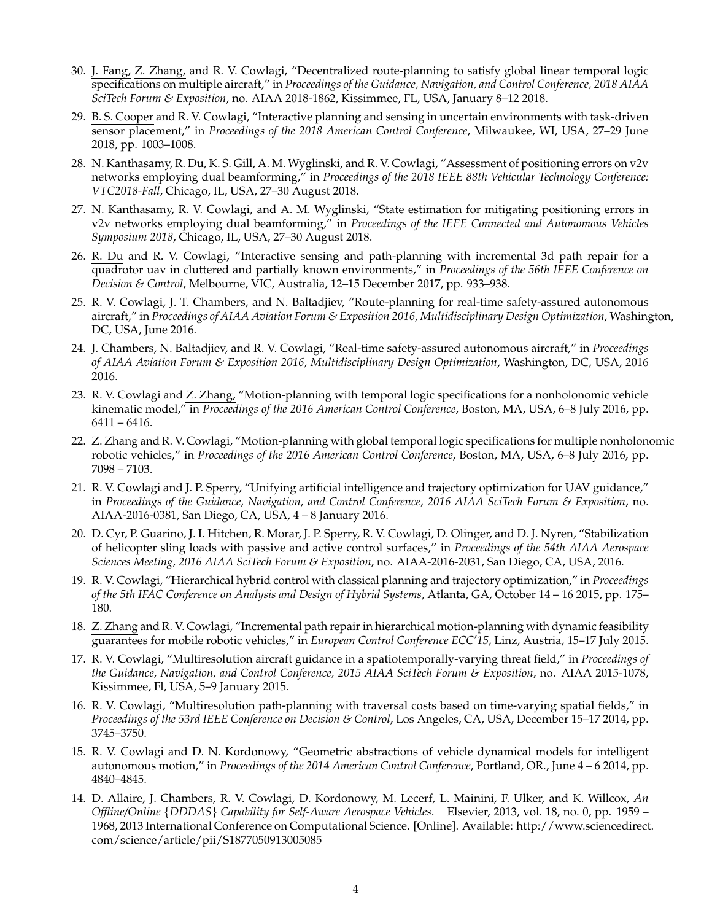- 30. J. Fang, Z. Zhang, and R. V. Cowlagi, "Decentralized route-planning to satisfy global linear temporal logic specifications on multiple aircraft," in *Proceedings of the Guidance, Navigation, and Control Conference, 2018 AIAA SciTech Forum & Exposition*, no. AIAA 2018-1862, Kissimmee, FL, USA, January 8–12 2018.
- 29. B. S. Cooper and R. V. Cowlagi, "Interactive planning and sensing in uncertain environments with task-driven sensor placement," in *Proceedings of the 2018 American Control Conference*, Milwaukee, WI, USA, 27–29 June 2018, pp. 1003–1008.
- 28. N. Kanthasamy, R. Du, K. S. Gill, A. M. Wyglinski, and R. V. Cowlagi, "Assessment of positioning errors on v2v networks employing dual beamforming," in *Proceedings of the 2018 IEEE 88th Vehicular Technology Conference: VTC2018-Fall*, Chicago, IL, USA, 27–30 August 2018.
- 27. N. Kanthasamy, R. V. Cowlagi, and A. M. Wyglinski, "State estimation for mitigating positioning errors in v2v networks employing dual beamforming," in *Proceedings of the IEEE Connected and Autonomous Vehicles Symposium 2018*, Chicago, IL, USA, 27–30 August 2018.
- 26. R. Du and R. V. Cowlagi, "Interactive sensing and path-planning with incremental 3d path repair for a quadrotor uav in cluttered and partially known environments," in *Proceedings of the 56th IEEE Conference on Decision & Control*, Melbourne, VIC, Australia, 12–15 December 2017, pp. 933–938.
- 25. R. V. Cowlagi, J. T. Chambers, and N. Baltadjiev, "Route-planning for real-time safety-assured autonomous aircraft," in *Proceedings of AIAA Aviation Forum & Exposition 2016, Multidisciplinary Design Optimization*, Washington, DC, USA, June 2016.
- 24. J. Chambers, N. Baltadjiev, and R. V. Cowlagi, "Real-time safety-assured autonomous aircraft," in *Proceedings of AIAA Aviation Forum & Exposition 2016, Multidisciplinary Design Optimization*, Washington, DC, USA, 2016 2016.
- 23. R. V. Cowlagi and Z. Zhang, "Motion-planning with temporal logic specifications for a nonholonomic vehicle kinematic model," in *Proceedings of the 2016 American Control Conference*, Boston, MA, USA, 6–8 July 2016, pp. 6411 – 6416.
- 22. Z. Zhang and R. V. Cowlagi, "Motion-planning with global temporal logic specifications for multiple nonholonomic robotic vehicles," in *Proceedings of the 2016 American Control Conference*, Boston, MA, USA, 6–8 July 2016, pp. 7098 – 7103.
- 21. R. V. Cowlagi and J. P. Sperry, "Unifying artificial intelligence and trajectory optimization for UAV guidance," in *Proceedings of the Guidance, Navigation, and Control Conference, 2016 AIAA SciTech Forum & Exposition*, no. AIAA-2016-0381, San Diego, CA, USA, 4 – 8 January 2016.
- 20. D. Cyr, P. Guarino, J. I. Hitchen, R. Morar, J. P. Sperry, R. V. Cowlagi, D. Olinger, and D. J. Nyren, "Stabilization of helicopter sling loads with passive and active control surfaces," in *Proceedings of the 54th AIAA Aerospace Sciences Meeting, 2016 AIAA SciTech Forum & Exposition*, no. AIAA-2016-2031, San Diego, CA, USA, 2016.
- 19. R. V. Cowlagi, "Hierarchical hybrid control with classical planning and trajectory optimization," in *Proceedings of the 5th IFAC Conference on Analysis and Design of Hybrid Systems*, Atlanta, GA, October 14 – 16 2015, pp. 175– 180.
- 18. Z. Zhang and R. V. Cowlagi, "Incremental path repair in hierarchical motion-planning with dynamic feasibility guarantees for mobile robotic vehicles," in *European Control Conference ECC'15*, Linz, Austria, 15–17 July 2015.
- 17. R. V. Cowlagi, "Multiresolution aircraft guidance in a spatiotemporally-varying threat field," in *Proceedings of the Guidance, Navigation, and Control Conference, 2015 AIAA SciTech Forum & Exposition*, no. AIAA 2015-1078, Kissimmee, Fl, USA, 5–9 January 2015.
- 16. R. V. Cowlagi, "Multiresolution path-planning with traversal costs based on time-varying spatial fields," in *Proceedings of the 53rd IEEE Conference on Decision & Control*, Los Angeles, CA, USA, December 15–17 2014, pp. 3745–3750.
- 15. R. V. Cowlagi and D. N. Kordonowy, "Geometric abstractions of vehicle dynamical models for intelligent autonomous motion," in *Proceedings of the 2014 American Control Conference*, Portland, OR., June 4 – 6 2014, pp. 4840–4845.
- 14. D. Allaire, J. Chambers, R. V. Cowlagi, D. Kordonowy, M. Lecerf, L. Mainini, F. Ulker, and K. Willcox, *An Offline/Online* {*DDDAS*} *Capability for Self-Aware Aerospace Vehicles*. Elsevier, 2013, vol. 18, no. 0, pp. 1959 – 1968, 2013 International Conference on Computational Science. [Online]. Available: [http://www.sciencedirect](http://www.sciencedirect.com/science/article/pii/S1877050913005085). [com/science/article/pii/S1877050913005085](http://www.sciencedirect.com/science/article/pii/S1877050913005085)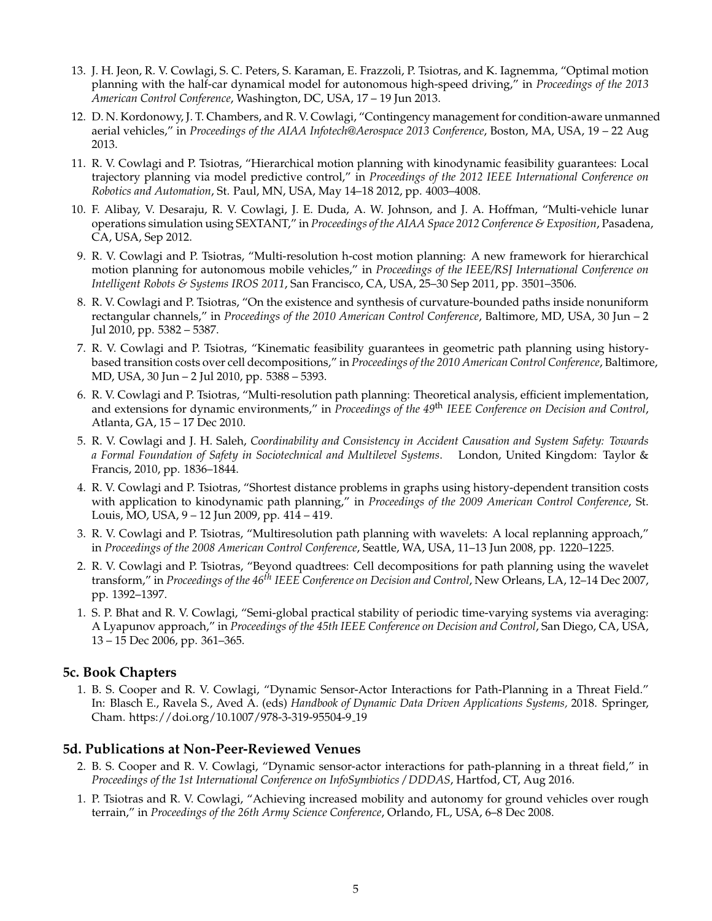- 13. J. H. Jeon, R. V. Cowlagi, S. C. Peters, S. Karaman, E. Frazzoli, P. Tsiotras, and K. Iagnemma, "Optimal motion planning with the half-car dynamical model for autonomous high-speed driving," in *Proceedings of the 2013 American Control Conference*, Washington, DC, USA, 17 – 19 Jun 2013.
- 12. D. N. Kordonowy, J. T. Chambers, and R. V. Cowlagi, "Contingency management for condition-aware unmanned aerial vehicles," in *Proceedings of the AIAA Infotech@Aerospace 2013 Conference*, Boston, MA, USA, 19 – 22 Aug 2013.
- 11. R. V. Cowlagi and P. Tsiotras, "Hierarchical motion planning with kinodynamic feasibility guarantees: Local trajectory planning via model predictive control," in *Proceedings of the 2012 IEEE International Conference on Robotics and Automation*, St. Paul, MN, USA, May 14–18 2012, pp. 4003–4008.
- 10. F. Alibay, V. Desaraju, R. V. Cowlagi, J. E. Duda, A. W. Johnson, and J. A. Hoffman, "Multi-vehicle lunar operations simulation using SEXTANT," in *Proceedings of the AIAA Space 2012 Conference & Exposition*, Pasadena, CA, USA, Sep 2012.
- 9. R. V. Cowlagi and P. Tsiotras, "Multi-resolution h-cost motion planning: A new framework for hierarchical motion planning for autonomous mobile vehicles," in *Proceedings of the IEEE/RSJ International Conference on Intelligent Robots & Systems IROS 2011*, San Francisco, CA, USA, 25–30 Sep 2011, pp. 3501–3506.
- 8. R. V. Cowlagi and P. Tsiotras, "On the existence and synthesis of curvature-bounded paths inside nonuniform rectangular channels," in *Proceedings of the 2010 American Control Conference*, Baltimore, MD, USA, 30 Jun – 2 Jul 2010, pp. 5382 – 5387.
- 7. R. V. Cowlagi and P. Tsiotras, "Kinematic feasibility guarantees in geometric path planning using historybased transition costs over cell decompositions," in *Proceedings of the 2010 American Control Conference*, Baltimore, MD, USA, 30 Jun – 2 Jul 2010, pp. 5388 – 5393.
- 6. R. V. Cowlagi and P. Tsiotras, "Multi-resolution path planning: Theoretical analysis, efficient implementation, and extensions for dynamic environments," in *Proceedings of the 49*th *IEEE Conference on Decision and Control*, Atlanta, GA, 15 – 17 Dec 2010.
- 5. R. V. Cowlagi and J. H. Saleh, *Coordinability and Consistency in Accident Causation and System Safety: Towards a Formal Foundation of Safety in Sociotechnical and Multilevel Systems*. London, United Kingdom: Taylor & Francis, 2010, pp. 1836–1844.
- 4. R. V. Cowlagi and P. Tsiotras, "Shortest distance problems in graphs using history-dependent transition costs with application to kinodynamic path planning," in *Proceedings of the 2009 American Control Conference*, St. Louis, MO, USA, 9 – 12 Jun 2009, pp. 414 – 419.
- 3. R. V. Cowlagi and P. Tsiotras, "Multiresolution path planning with wavelets: A local replanning approach," in *Proceedings of the 2008 American Control Conference*, Seattle, WA, USA, 11–13 Jun 2008, pp. 1220–1225.
- 2. R. V. Cowlagi and P. Tsiotras, "Beyond quadtrees: Cell decompositions for path planning using the wavelet transform," in *Proceedings of the 46th IEEE Conference on Decision and Control*, New Orleans, LA, 12–14 Dec 2007, pp. 1392–1397.
- 1. S. P. Bhat and R. V. Cowlagi, "Semi-global practical stability of periodic time-varying systems via averaging: A Lyapunov approach," in *Proceedings of the 45th IEEE Conference on Decision and Control*, San Diego, CA, USA, 13 – 15 Dec 2006, pp. 361–365.

#### **5c. Book Chapters**

1. B. S. Cooper and R. V. Cowlagi, "Dynamic Sensor-Actor Interactions for Path-Planning in a Threat Field." In: Blasch E., Ravela S., Aved A. (eds) *Handbook of Dynamic Data Driven Applications Systems,* 2018. Springer, Cham. https://doi.org/10.1007/978-3-319-95504-9 19

#### **5d. Publications at Non-Peer-Reviewed Venues**

- 2. B. S. Cooper and R. V. Cowlagi, "Dynamic sensor-actor interactions for path-planning in a threat field," in *Proceedings of the 1st International Conference on InfoSymbiotics / DDDAS*, Hartfod, CT, Aug 2016.
- 1. P. Tsiotras and R. V. Cowlagi, "Achieving increased mobility and autonomy for ground vehicles over rough terrain," in *Proceedings of the 26th Army Science Conference*, Orlando, FL, USA, 6–8 Dec 2008.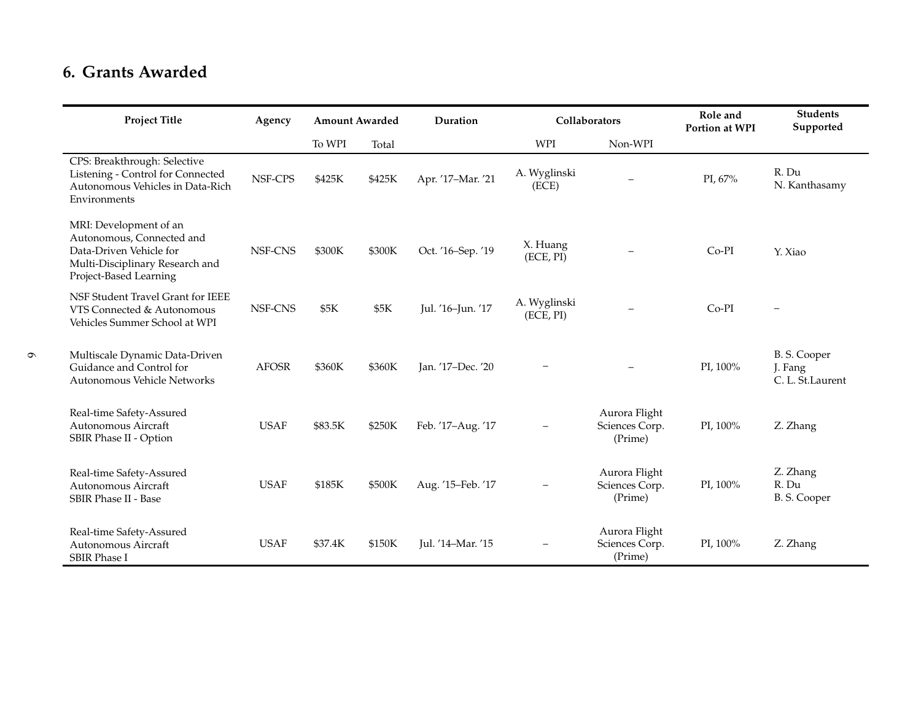### **6. Grants Awarded**

 $\sigma$ 

| <b>Project Title</b>                                                                                                                        | Agency       | <b>Amount Awarded</b> |        | Duration          | Collaborators             |                                            | Role and<br>Portion at WPI | <b>Students</b><br>Supported                |
|---------------------------------------------------------------------------------------------------------------------------------------------|--------------|-----------------------|--------|-------------------|---------------------------|--------------------------------------------|----------------------------|---------------------------------------------|
|                                                                                                                                             |              | To WPI                | Total  |                   | <b>WPI</b>                | Non-WPI                                    |                            |                                             |
| CPS: Breakthrough: Selective<br>Listening - Control for Connected<br>Autonomous Vehicles in Data-Rich<br>Environments                       | NSF-CPS      | \$425K                | \$425K | Apr. '17-Mar. '21 | A. Wyglinski<br>(ECE)     | $\overline{\phantom{0}}$                   | PI, 67%                    | R. Du<br>N. Kanthasamy                      |
| MRI: Development of an<br>Autonomous, Connected and<br>Data-Driven Vehicle for<br>Multi-Disciplinary Research and<br>Project-Based Learning | NSF-CNS      | \$300K                | \$300K | Oct. '16-Sep. '19 | X. Huang<br>(ECE, PI)     | -                                          | Co-PI                      | Y. Xiao                                     |
| NSF Student Travel Grant for IEEE<br>VTS Connected & Autonomous<br>Vehicles Summer School at WPI                                            | NSF-CNS      | \$5K                  | \$5K   | Jul. '16-Jun. '17 | A. Wyglinski<br>(ECE, PI) |                                            | Co-PI                      |                                             |
| Multiscale Dynamic Data-Driven<br>Guidance and Control for<br>Autonomous Vehicle Networks                                                   | <b>AFOSR</b> | \$360K                | \$360K | Jan. '17-Dec. '20 | $\overline{\phantom{0}}$  |                                            | PI, 100%                   | B. S. Cooper<br>J. Fang<br>C. L. St.Laurent |
| Real-time Safety-Assured<br>Autonomous Aircraft<br>SBIR Phase II - Option                                                                   | <b>USAF</b>  | \$83.5K               | \$250K | Feb. '17-Aug. '17 |                           | Aurora Flight<br>Sciences Corp.<br>(Prime) | PI, 100%                   | Z. Zhang                                    |
| Real-time Safety-Assured<br>Autonomous Aircraft<br>SBIR Phase II - Base                                                                     | <b>USAF</b>  | \$185K                | \$500K | Aug. '15-Feb. '17 |                           | Aurora Flight<br>Sciences Corp.<br>(Prime) | PI, 100%                   | Z. Zhang<br>R. Du<br>B. S. Cooper           |
| Real-time Safety-Assured<br>Autonomous Aircraft<br><b>SBIR Phase I</b>                                                                      | <b>USAF</b>  | \$37.4K               | \$150K | Jul. '14-Mar. '15 |                           | Aurora Flight<br>Sciences Corp.<br>(Prime) | PI, 100%                   | Z. Zhang                                    |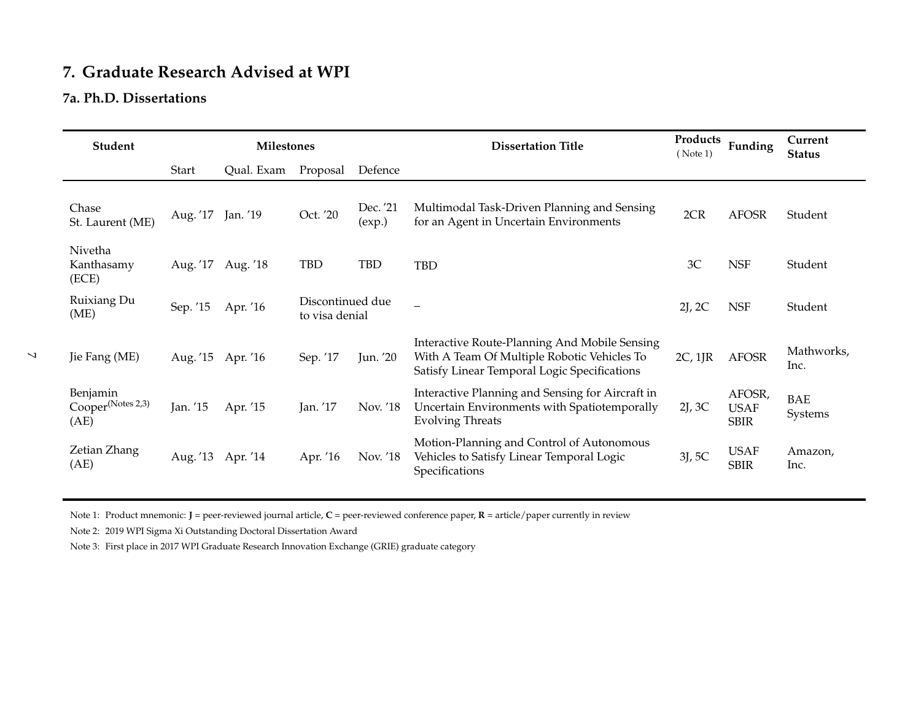# **7. Graduate Research Advised at WPI**

#### **7a. Ph.D. Dissertations**

| Student                                           |          | <b>Milestones</b> |                                    |                    | <b>Dissertation Title</b>                                                                                                                    |         | Products<br>Funding                  | Current<br><b>Status</b> |
|---------------------------------------------------|----------|-------------------|------------------------------------|--------------------|----------------------------------------------------------------------------------------------------------------------------------------------|---------|--------------------------------------|--------------------------|
|                                                   | Start    | Qual. Exam        | Proposal                           | Defence            |                                                                                                                                              |         |                                      |                          |
| Chase<br>St. Laurent (ME)                         | Aug. '17 | Jan. '19          | Oct. '20                           | Dec. '21<br>(exp.) | Multimodal Task-Driven Planning and Sensing<br>for an Agent in Uncertain Environments                                                        | 2CR     | <b>AFOSR</b>                         | Student                  |
| Nivetha<br>Kanthasamy<br>(ECE)                    | Aug. '17 | Aug. '18          | <b>TBD</b>                         | <b>TBD</b>         | <b>TBD</b>                                                                                                                                   | 3C      | <b>NSF</b>                           | Student                  |
| Ruixiang Du<br>(ME)                               | Sep. '15 | Apr. '16          | Discontinued due<br>to visa denial |                    |                                                                                                                                              | 2J, 2C  | <b>NSF</b>                           | Student                  |
| Jie Fang (ME)                                     | Aug. '15 | Apr. '16          | Sep. '17                           | Jun. '20           | Interactive Route-Planning And Mobile Sensing<br>With A Team Of Multiple Robotic Vehicles To<br>Satisfy Linear Temporal Logic Specifications | 2C, 1IR | <b>AFOSR</b>                         | Mathworks,<br>Inc.       |
| Benjamin<br>Cooper <sup>(Notes 2,3)</sup><br>(AE) | Jan. '15 | Apr. '15          | Jan. '17                           | Nov. '18           | Interactive Planning and Sensing for Aircraft in<br>Uncertain Environments with Spatiotemporally<br><b>Evolving Threats</b>                  | 2J, 3C  | AFOSR,<br><b>USAF</b><br><b>SBIR</b> | <b>BAE</b><br>Systems    |
| Zetian Zhang<br>(AE)                              | Aug. '13 | Apr. '14          | Apr. '16                           | Nov. '18           | Motion-Planning and Control of Autonomous<br>Vehicles to Satisfy Linear Temporal Logic<br>Specifications                                     | 3J, 5C  | <b>USAF</b><br><b>SBIR</b>           | Amazon,<br>Inc.          |

Note 1: Product mnemonic: **J** <sup>=</sup> peer-reviewed journal article, **<sup>C</sup>** <sup>=</sup> peer-reviewed conference paper, **<sup>R</sup>** <sup>=</sup> article/paper currently in review

Note 2: 2019 WPI Sigma Xi Outstanding Doctoral Dissertation Award

Note 3: First place in 2017 WPI Graduate Research Innovation Exchange (GRIE) graduate category

 $\blacktriangleright$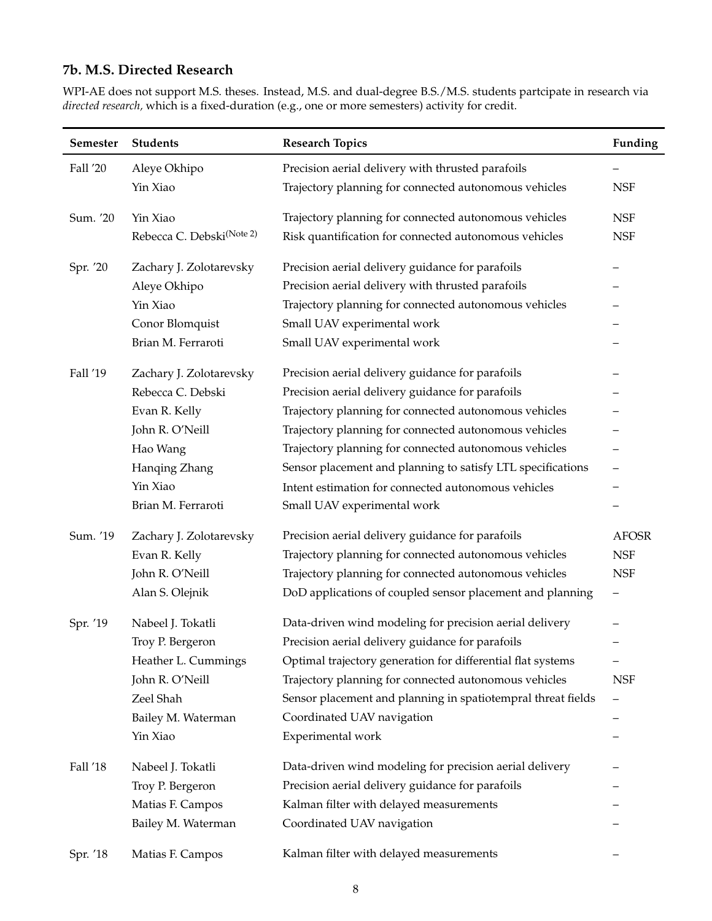#### **7b. M.S. Directed Research**

WPI-AE does not support M.S. theses. Instead, M.S. and dual-degree B.S./M.S. students partcipate in research via *directed research,* which is a fixed-duration (e.g., one or more semesters) activity for credit.

| Semester | <b>Students</b>                       | <b>Research Topics</b>                                       | Funding                  |
|----------|---------------------------------------|--------------------------------------------------------------|--------------------------|
| Fall '20 | Aleye Okhipo                          | Precision aerial delivery with thrusted parafoils            |                          |
|          | Yin Xiao                              | Trajectory planning for connected autonomous vehicles        | <b>NSF</b>               |
| Sum. '20 | Yin Xiao                              | Trajectory planning for connected autonomous vehicles        | <b>NSF</b>               |
|          | Rebecca C. Debski <sup>(Note 2)</sup> | Risk quantification for connected autonomous vehicles        | <b>NSF</b>               |
| Spr. '20 | Zachary J. Zolotarevsky               | Precision aerial delivery guidance for parafoils             |                          |
|          | Aleye Okhipo                          | Precision aerial delivery with thrusted parafoils            |                          |
|          | Yin Xiao                              | Trajectory planning for connected autonomous vehicles        |                          |
|          | Conor Blomquist                       | Small UAV experimental work                                  |                          |
|          | Brian M. Ferraroti                    | Small UAV experimental work                                  |                          |
| Fall '19 | Zachary J. Zolotarevsky               | Precision aerial delivery guidance for parafoils             |                          |
|          | Rebecca C. Debski                     | Precision aerial delivery guidance for parafoils             |                          |
|          | Evan R. Kelly                         | Trajectory planning for connected autonomous vehicles        |                          |
|          | John R. O'Neill                       | Trajectory planning for connected autonomous vehicles        |                          |
|          | Hao Wang                              | Trajectory planning for connected autonomous vehicles        |                          |
|          | Hanqing Zhang                         | Sensor placement and planning to satisfy LTL specifications  |                          |
|          | Yin Xiao                              | Intent estimation for connected autonomous vehicles          |                          |
|          | Brian M. Ferraroti                    | Small UAV experimental work                                  |                          |
| Sum. '19 | Zachary J. Zolotarevsky               | Precision aerial delivery guidance for parafoils             | <b>AFOSR</b>             |
|          | Evan R. Kelly                         | Trajectory planning for connected autonomous vehicles        | <b>NSF</b>               |
|          | John R. O'Neill                       | Trajectory planning for connected autonomous vehicles        | <b>NSF</b>               |
|          | Alan S. Olejnik                       | DoD applications of coupled sensor placement and planning    | $\qquad \qquad -$        |
| Spr. '19 | Nabeel J. Tokatli                     | Data-driven wind modeling for precision aerial delivery      |                          |
|          | Troy P. Bergeron                      | Precision aerial delivery guidance for parafoils             |                          |
|          | Heather L. Cummings                   | Optimal trajectory generation for differential flat systems  |                          |
|          | John R. O'Neill                       | Trajectory planning for connected autonomous vehicles        | <b>NSF</b>               |
|          | Zeel Shah                             | Sensor placement and planning in spatiotempral threat fields | $\overline{\phantom{m}}$ |
|          | Bailey M. Waterman                    | Coordinated UAV navigation                                   |                          |
|          | Yin Xiao                              | Experimental work                                            |                          |
| Fall '18 | Nabeel J. Tokatli                     | Data-driven wind modeling for precision aerial delivery      |                          |
|          | Troy P. Bergeron                      | Precision aerial delivery guidance for parafoils             |                          |
|          | Matias F. Campos                      | Kalman filter with delayed measurements                      |                          |
|          | Bailey M. Waterman                    | Coordinated UAV navigation                                   |                          |
| Spr. '18 | Matias F. Campos                      | Kalman filter with delayed measurements                      |                          |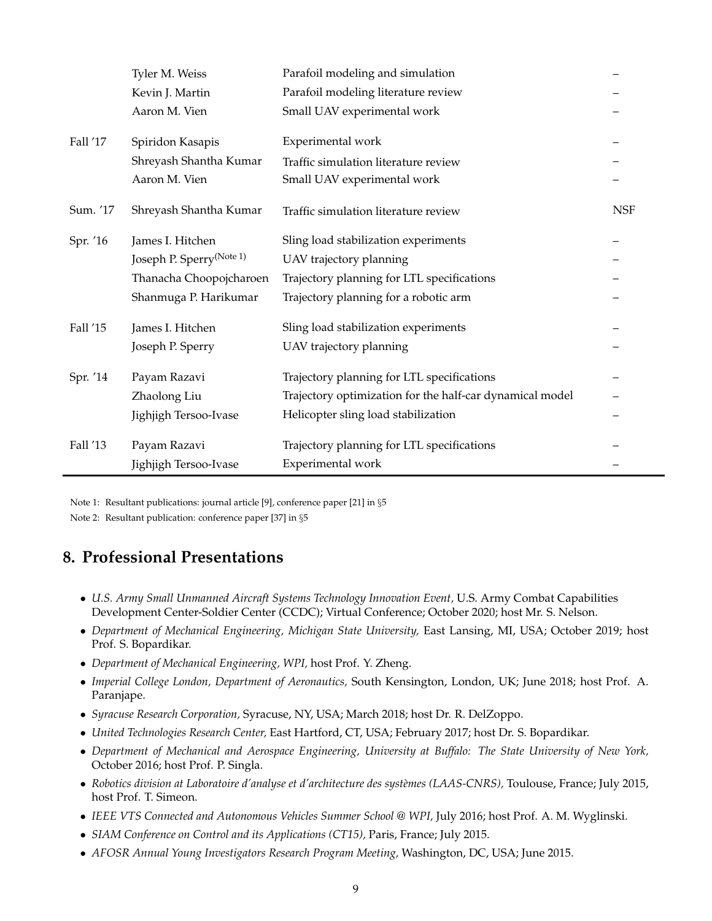|          | Tyler M. Weiss                       | Parafoil modeling and simulation                         |            |
|----------|--------------------------------------|----------------------------------------------------------|------------|
|          | Kevin J. Martin                      | Parafoil modeling literature review                      |            |
|          | Aaron M. Vien                        | Small UAV experimental work                              |            |
| Fall '17 | Spiridon Kasapis                     | Experimental work                                        |            |
|          |                                      |                                                          |            |
|          | Shreyash Shantha Kumar               | Traffic simulation literature review                     |            |
|          | Aaron M. Vien                        | Small UAV experimental work                              |            |
| Sum. '17 | Shreyash Shantha Kumar               | Traffic simulation literature review                     | <b>NSF</b> |
| Spr. '16 | James I. Hitchen                     | Sling load stabilization experiments                     |            |
|          | Joseph P. Sperry <sup>(Note 1)</sup> | UAV trajectory planning                                  |            |
|          | Thanacha Choopojcharoen              | Trajectory planning for LTL specifications               |            |
|          | Shanmuga P. Harikumar                | Trajectory planning for a robotic arm                    |            |
| Fall '15 | James I. Hitchen                     | Sling load stabilization experiments                     |            |
|          | Joseph P. Sperry                     | UAV trajectory planning                                  |            |
| Spr. '14 | Payam Razavi                         | Trajectory planning for LTL specifications               |            |
|          | Zhaolong Liu                         | Trajectory optimization for the half-car dynamical model |            |
|          | Jighjigh Tersoo-Ivase                | Helicopter sling load stabilization                      |            |
| Fall '13 | Payam Razavi                         | Trajectory planning for LTL specifications               |            |
|          | Jighjigh Tersoo-Ivase                | Experimental work                                        |            |

Note 1: Resultant publications: journal article [9], conference paper [21] in §[5](#page-1-0)

Note 2: Resultant publication: conference paper [37] in §[5](#page-1-0)

# **8. Professional Presentations**

- *U.S. Army Small Unmanned Aircraft Systems Technology Innovation Event,* U.S. Army Combat Capabilities Development Center-Soldier Center (CCDC); Virtual Conference; October 2020; host Mr. S. Nelson.
- *Department of Mechanical Engineering, Michigan State University,* East Lansing, MI, USA; October 2019; host Prof. S. Bopardikar.
- *Department of Mechanical Engineering, WPI,* host Prof. Y. Zheng.
- *Imperial College London, Department of Aeronautics,* South Kensington, London, UK; June 2018; host Prof. A. Paranjape.
- *Syracuse Research Corporation,* Syracuse, NY, USA; March 2018; host Dr. R. DelZoppo.
- *United Technologies Research Center,* East Hartford, CT, USA; February 2017; host Dr. S. Bopardikar.
- *Department of Mechanical and Aerospace Engineering, University at Buffalo: The State University of New York,* October 2016; host Prof. P. Singla.
- Robotics division at Laboratoire d'analyse et d'architecture des systèmes (LAAS-CNRS), Toulouse, France; July 2015, host Prof. T. Simeon.
- *IEEE VTS Connected and Autonomous Vehicles Summer School @ WPI,* July 2016; host Prof. A. M. Wyglinski.
- *SIAM Conference on Control and its Applications (CT15),* Paris, France; July 2015.
- *AFOSR Annual Young Investigators Research Program Meeting,* Washington, DC, USA; June 2015.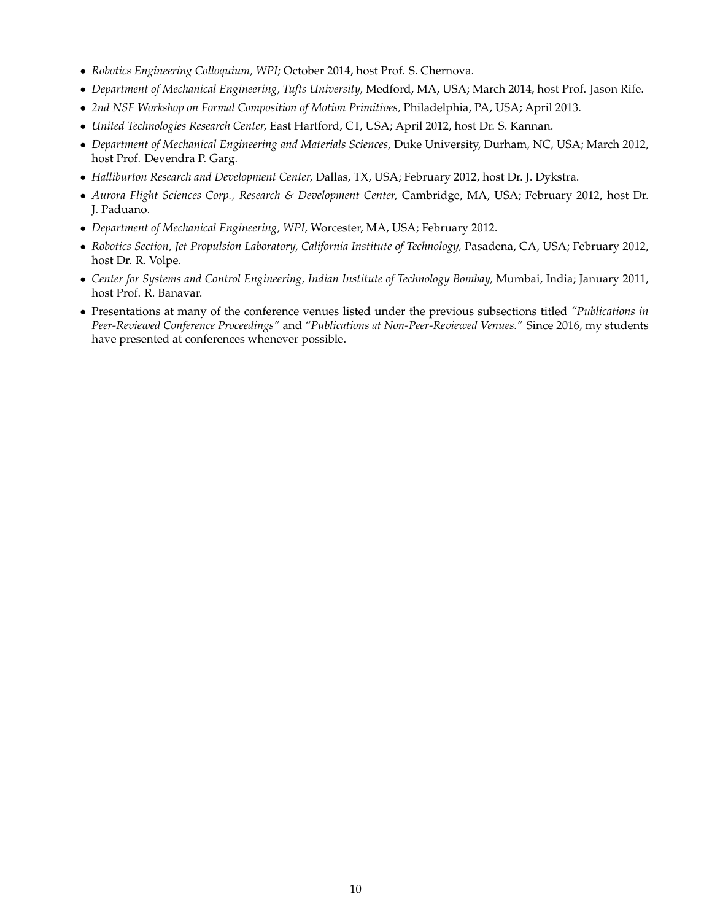- *Robotics Engineering Colloquium, WPI;* October 2014, host Prof. S. Chernova.
- *Department of Mechanical Engineering, Tufts University,* Medford, MA, USA; March 2014, host Prof. Jason Rife.
- *2nd NSF Workshop on Formal Composition of Motion Primitives,* Philadelphia, PA, USA; April 2013.
- *United Technologies Research Center,* East Hartford, CT, USA; April 2012, host Dr. S. Kannan.
- *Department of Mechanical Engineering and Materials Sciences,* Duke University, Durham, NC, USA; March 2012, host Prof. Devendra P. Garg.
- *Halliburton Research and Development Center,* Dallas, TX, USA; February 2012, host Dr. J. Dykstra.
- *Aurora Flight Sciences Corp., Research & Development Center,* Cambridge, MA, USA; February 2012, host Dr. J. Paduano.
- *Department of Mechanical Engineering, WPI,* Worcester, MA, USA; February 2012.
- *Robotics Section, Jet Propulsion Laboratory, California Institute of Technology,* Pasadena, CA, USA; February 2012, host Dr. R. Volpe.
- *Center for Systems and Control Engineering, Indian Institute of Technology Bombay,* Mumbai, India; January 2011, host Prof. R. Banavar.
- Presentations at many of the conference venues listed under the previous subsections titled *"Publications in Peer-Reviewed Conference Proceedings"* and *"Publications at Non-Peer-Reviewed Venues."* Since 2016, my students have presented at conferences whenever possible.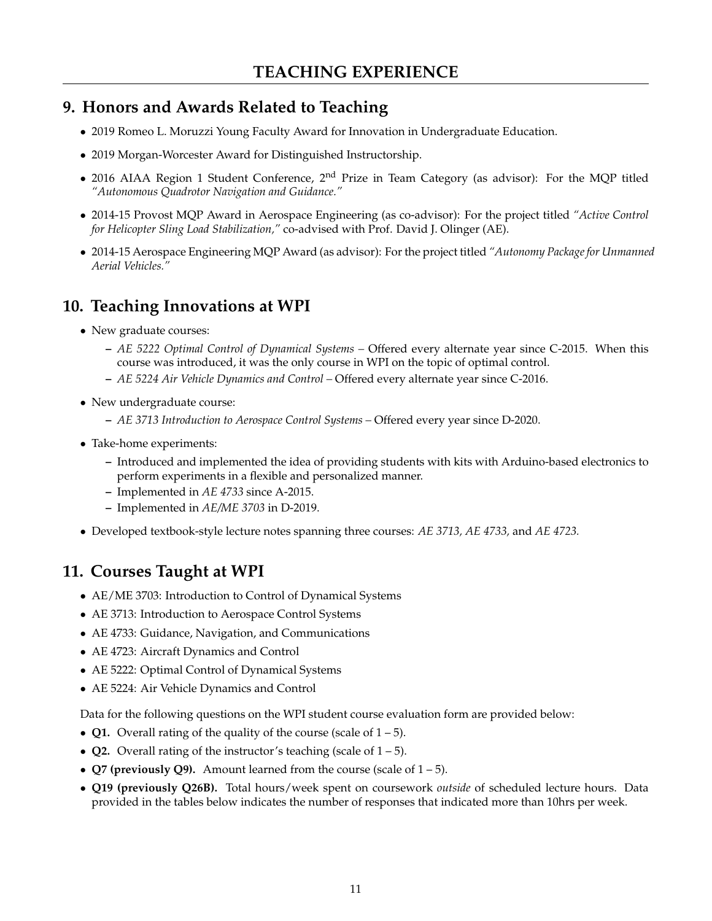# **9. Honors and Awards Related to Teaching**

- 2019 Romeo L. Moruzzi Young Faculty Award for Innovation in Undergraduate Education.
- 2019 Morgan-Worcester Award for Distinguished Instructorship.
- 2016 AIAA Region 1 Student Conference,  $2<sup>nd</sup>$  Prize in Team Category (as advisor): For the MQP titled *"Autonomous Quadrotor Navigation and Guidance."*
- 2014-15 Provost MQP Award in Aerospace Engineering (as co-advisor): For the project titled *"Active Control for Helicopter Sling Load Stabilization,"* co-advised with Prof. David J. Olinger (AE).
- 2014-15 Aerospace Engineering MQP Award (as advisor): For the project titled *"Autonomy Package for Unmanned Aerial Vehicles."*

# **10. Teaching Innovations at WPI**

- New graduate courses:
	- **–** *AE 5222 Optimal Control of Dynamical Systems –* Offered every alternate year since C-2015. When this course was introduced, it was the only course in WPI on the topic of optimal control.
	- **–** *AE 5224 Air Vehicle Dynamics and Control –* Offered every alternate year since C-2016.
- New undergraduate course:
	- **–** *AE 3713 Introduction to Aerospace Control Systems –* Offered every year since D-2020.
- Take-home experiments:
	- **–** Introduced and implemented the idea of providing students with kits with Arduino-based electronics to perform experiments in a flexible and personalized manner.
	- **–** Implemented in *AE 4733* since A-2015.
	- **–** Implemented in *AE/ME 3703* in D-2019.
- Developed textbook-style lecture notes spanning three courses: *AE 3713, AE 4733,* and *AE 4723.*

# **11. Courses Taught at WPI**

- AE/ME 3703: Introduction to Control of Dynamical Systems
- AE 3713: Introduction to Aerospace Control Systems
- AE 4733: Guidance, Navigation, and Communications
- AE 4723: Aircraft Dynamics and Control
- AE 5222: Optimal Control of Dynamical Systems
- AE 5224: Air Vehicle Dynamics and Control

Data for the following questions on the WPI student course evaluation form are provided below:

- **Q1.** Overall rating of the quality of the course (scale of  $1 5$ ).
- **Q2.** Overall rating of the instructor's teaching (scale of 1 5).
- **Q7 (previously Q9).** Amount learned from the course (scale of 1 5).
- **Q19 (previously Q26B).** Total hours/week spent on coursework *outside* of scheduled lecture hours. Data provided in the tables below indicates the number of responses that indicated more than 10hrs per week.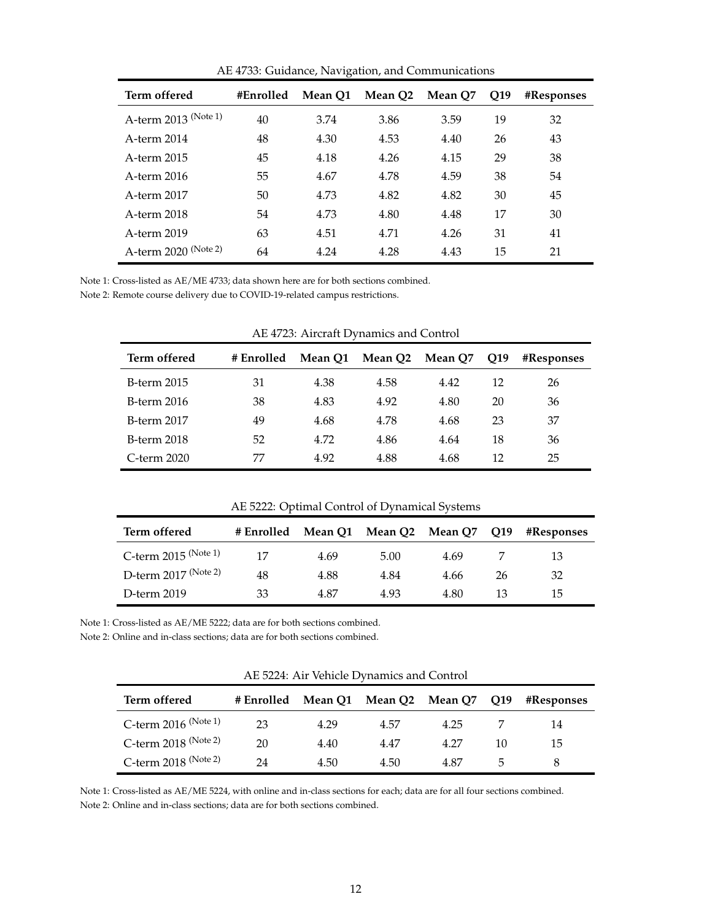| Term offered         | #Enrolled | Mean O1 | Mean O2 | Mean O7 | Q19 | #Responses |
|----------------------|-----------|---------|---------|---------|-----|------------|
| A-term 2013 (Note 1) | 40        | 3.74    | 3.86    | 3.59    | 19  | 32         |
| A-term 2014          | 48        | 4.30    | 4.53    | 4.40    | 26  | 43         |
| A-term 2015          | 45        | 4.18    | 4.26    | 4.15    | 29  | 38         |
| A-term 2016          | 55        | 4.67    | 4.78    | 4.59    | 38  | 54         |
| A-term 2017          | 50        | 4.73    | 4.82    | 4.82    | 30  | 45         |
| A-term 2018          | 54        | 4.73    | 4.80    | 4.48    | 17  | 30         |
| A-term 2019          | 63        | 4.51    | 4.71    | 4.26    | 31  | 41         |
| A-term 2020 (Note 2) | 64        | 4.24    | 4.28    | 4.43    | 15  | 21         |

AE 4733: Guidance, Navigation, and Communications

Note 1: Cross-listed as AE/ME 4733; data shown here are for both sections combined.

Note 2: Remote course delivery due to COVID-19-related campus restrictions.

| Term offered       | # Enrolled | Mean O1 | Mean Q <sub>2</sub> Mean Q <sub>7</sub> |      | O <sub>19</sub> | <b>#Responses</b> |
|--------------------|------------|---------|-----------------------------------------|------|-----------------|-------------------|
| <b>B-term 2015</b> | 31         | 4.38    | 4.58                                    | 4.42 | 12              | 26                |
| <b>B-term 2016</b> | 38         | 4.83    | 4.92                                    | 4.80 | 20              | 36                |
| <b>B-term 2017</b> | 49         | 4.68    | 4.78                                    | 4.68 | 23              | 37                |
| <b>B-term 2018</b> | 52         | 4.72    | 4.86                                    | 4.64 | 18              | 36                |
| C-term 2020        | 77         | 4.92    | 4.88                                    | 4.68 | 12              | 25                |

AE 4723: Aircraft Dynamics and Control

|                        | $111.0444$ . Optimal component of $11.041$ |      |      |      |     |            |
|------------------------|--------------------------------------------|------|------|------|-----|------------|
| Term offered           | # Enrolled Mean Q1 Mean Q2 Mean Q7         |      |      |      | Q19 | #Responses |
| C-term $2015$ (Note 1) | 17                                         | 4.69 | 5.00 | 4.69 |     | 13         |
| D-term $2017$ (Note 2) | 48                                         | 4.88 | 4.84 | 4.66 | 26  | 32         |
| D-term 2019            | 33                                         | 4.87 | 4.93 | 4.80 | 13  | 15         |

AE 5222: Optimal Control of Dynamical Systems

Note 1: Cross-listed as AE/ME 5222; data are for both sections combined.

Note 2: Online and in-class sections; data are for both sections combined.

|                        |                                    |      | <i>THE ULL I</i> THE VEHICLE D VIRHING RHA COMMOT |      |                 |                   |
|------------------------|------------------------------------|------|---------------------------------------------------|------|-----------------|-------------------|
| Term offered           | # Enrolled Mean Q1 Mean Q2 Mean Q7 |      |                                                   |      | O <sub>19</sub> | <b>#Responses</b> |
| C-term $2016$ (Note 1) | 23                                 | 4.29 | 4.57                                              | 4.25 |                 | 14                |
| C-term $2018$ (Note 2) | 20                                 | 4.40 | 4.47                                              | 4.27 | 10              | 15.               |
| C-term $2018$ (Note 2) | 24                                 | 4.50 | 4.50                                              | 4.87 | 5               |                   |

AE 5224: Air Vehicle Dynamics and Control

Note 1: Cross-listed as AE/ME 5224, with online and in-class sections for each; data are for all four sections combined. Note 2: Online and in-class sections; data are for both sections combined.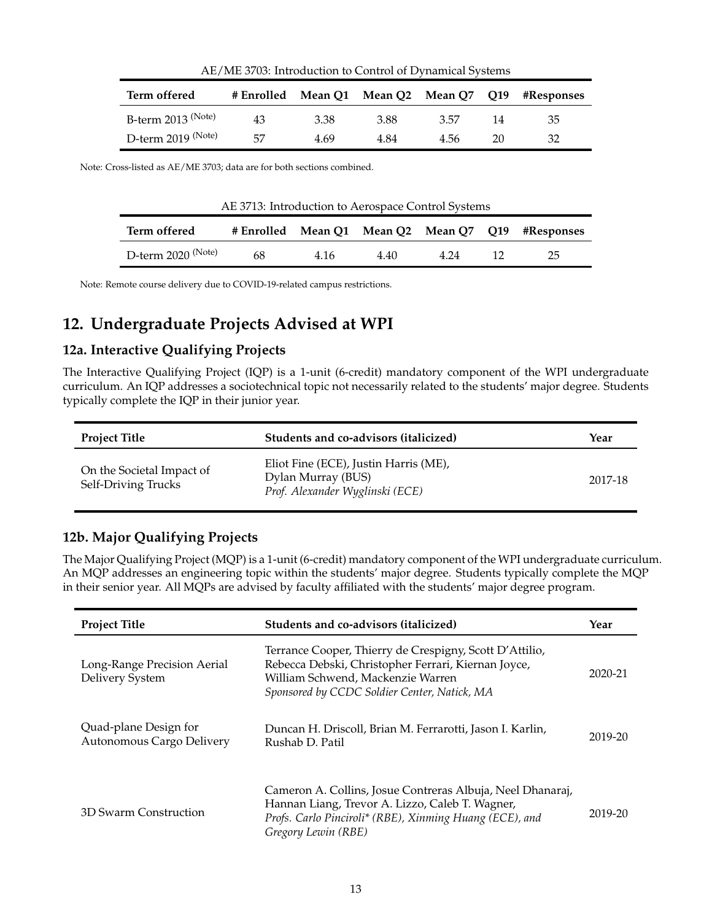| Term offered         | # Enrolled |      | Mean Q1 Mean Q2 Mean Q7 Q19 |      |    | #Responses |
|----------------------|------------|------|-----------------------------|------|----|------------|
| B-term $2013$ (Note) | 43         | 3.38 | 3.88                        | 3.57 | 14 | 35         |
| D-term $2019$ (Note) | 57         | 4.69 | 4.84                        | 4.56 | 20 | 32         |

AE/ME 3703: Introduction to Control of Dynamical Systems

Note: Cross-listed as AE/ME 3703; data are for both sections combined.

| AE 3713: Introduction to Aerospace Control Systems |    |      |      |      |  |                                                   |  |  |
|----------------------------------------------------|----|------|------|------|--|---------------------------------------------------|--|--|
| Term offered                                       |    |      |      |      |  | # Enrolled Mean Q1 Mean Q2 Mean Q7 Q19 #Responses |  |  |
| D-term 2020 <sup>(Note)</sup>                      | 68 | 4.16 | 4.40 | 4.24 |  | 25                                                |  |  |

Note: Remote course delivery due to COVID-19-related campus restrictions.

# **12. Undergraduate Projects Advised at WPI**

#### **12a. Interactive Qualifying Projects**

The Interactive Qualifying Project (IQP) is a 1-unit (6-credit) mandatory component of the WPI undergraduate curriculum. An IQP addresses a sociotechnical topic not necessarily related to the students' major degree. Students typically complete the IQP in their junior year.

| <b>Project Title</b>                             | Students and co-advisors (italicized)                                                          | Year    |
|--------------------------------------------------|------------------------------------------------------------------------------------------------|---------|
| On the Societal Impact of<br>Self-Driving Trucks | Eliot Fine (ECE), Justin Harris (ME),<br>Dylan Murray (BUS)<br>Prof. Alexander Wyglinski (ECE) | 2017-18 |

#### **12b. Major Qualifying Projects**

The Major Qualifying Project (MQP) is a 1-unit (6-credit) mandatory component of the WPI undergraduate curriculum. An MQP addresses an engineering topic within the students' major degree. Students typically complete the MQP in their senior year. All MQPs are advised by faculty affiliated with the students' major degree program.

| <b>Project Title</b>                               | Students and co-advisors (italicized)                                                                                                                                                               | Year    |
|----------------------------------------------------|-----------------------------------------------------------------------------------------------------------------------------------------------------------------------------------------------------|---------|
| Long-Range Precision Aerial<br>Delivery System     | Terrance Cooper, Thierry de Crespigny, Scott D'Attilio,<br>Rebecca Debski, Christopher Ferrari, Kiernan Joyce,<br>William Schwend, Mackenzie Warren<br>Sponsored by CCDC Soldier Center, Natick, MA | 2020-21 |
| Quad-plane Design for<br>Autonomous Cargo Delivery | Duncan H. Driscoll, Brian M. Ferrarotti, Jason I. Karlin,<br>Rushab D. Patil                                                                                                                        | 2019-20 |
| 3D Swarm Construction                              | Cameron A. Collins, Josue Contreras Albuja, Neel Dhanaraj,<br>Hannan Liang, Trevor A. Lizzo, Caleb T. Wagner,<br>Profs. Carlo Pinciroli* (RBE), Xinming Huang (ECE), and<br>Gregory Lewin (RBE)     | 2019-20 |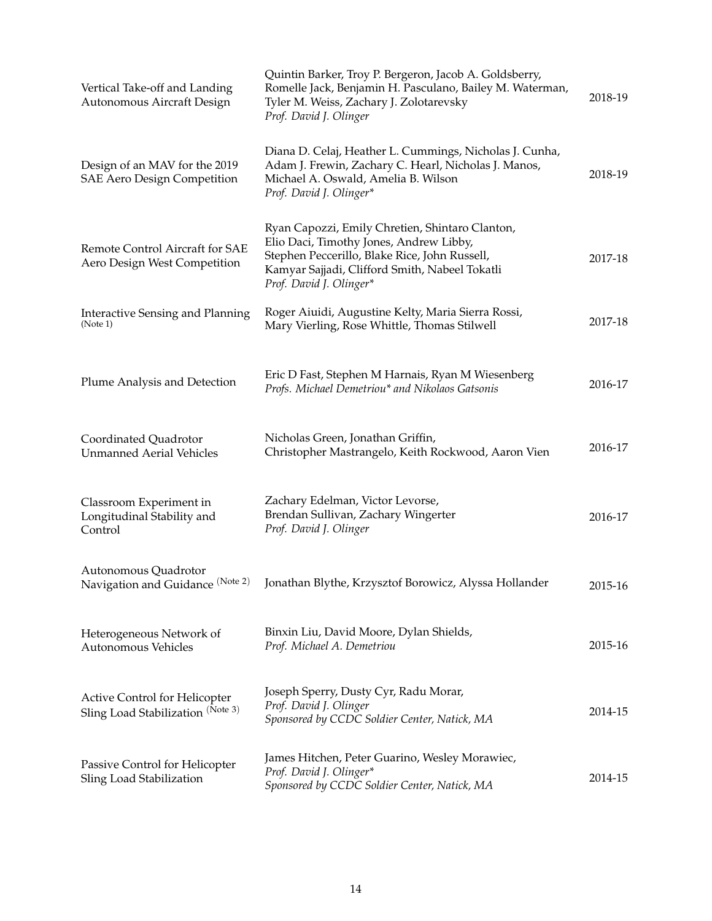| Vertical Take-off and Landing<br>Autonomous Aircraft Design               | Quintin Barker, Troy P. Bergeron, Jacob A. Goldsberry,<br>Romelle Jack, Benjamin H. Pasculano, Bailey M. Waterman,<br>Tyler M. Weiss, Zachary J. Zolotarevsky<br>Prof. David J. Olinger                                  | 2018-19 |
|---------------------------------------------------------------------------|--------------------------------------------------------------------------------------------------------------------------------------------------------------------------------------------------------------------------|---------|
| Design of an MAV for the 2019<br><b>SAE Aero Design Competition</b>       | Diana D. Celaj, Heather L. Cummings, Nicholas J. Cunha,<br>Adam J. Frewin, Zachary C. Hearl, Nicholas J. Manos,<br>Michael A. Oswald, Amelia B. Wilson<br>Prof. David J. Olinger*                                        | 2018-19 |
| Remote Control Aircraft for SAE<br>Aero Design West Competition           | Ryan Capozzi, Emily Chretien, Shintaro Clanton,<br>Elio Daci, Timothy Jones, Andrew Libby,<br>Stephen Peccerillo, Blake Rice, John Russell,<br>Kamyar Sajjadi, Clifford Smith, Nabeel Tokatli<br>Prof. David J. Olinger* | 2017-18 |
| <b>Interactive Sensing and Planning</b><br>(Note 1)                       | Roger Aiuidi, Augustine Kelty, Maria Sierra Rossi,<br>Mary Vierling, Rose Whittle, Thomas Stilwell                                                                                                                       | 2017-18 |
| Plume Analysis and Detection                                              | Eric D Fast, Stephen M Harnais, Ryan M Wiesenberg<br>Profs. Michael Demetriou* and Nikolaos Gatsonis                                                                                                                     | 2016-17 |
| Coordinated Quadrotor<br><b>Unmanned Aerial Vehicles</b>                  | Nicholas Green, Jonathan Griffin,<br>Christopher Mastrangelo, Keith Rockwood, Aaron Vien                                                                                                                                 | 2016-17 |
| Classroom Experiment in<br>Longitudinal Stability and<br>Control          | Zachary Edelman, Victor Levorse,<br>Brendan Sullivan, Zachary Wingerter<br>Prof. David J. Olinger                                                                                                                        | 2016-17 |
| Autonomous Quadrotor<br>Navigation and Guidance (Note 2)                  | Jonathan Blythe, Krzysztof Borowicz, Alyssa Hollander                                                                                                                                                                    | 2015-16 |
| Heterogeneous Network of<br>Autonomous Vehicles                           | Binxin Liu, David Moore, Dylan Shields,<br>Prof. Michael A. Demetriou                                                                                                                                                    | 2015-16 |
| <b>Active Control for Helicopter</b><br>Sling Load Stabilization (Note 3) | Joseph Sperry, Dusty Cyr, Radu Morar,<br>Prof. David J. Olinger<br>Sponsored by CCDC Soldier Center, Natick, MA                                                                                                          | 2014-15 |
| Passive Control for Helicopter<br>Sling Load Stabilization                | James Hitchen, Peter Guarino, Wesley Morawiec,<br>Prof. David J. Olinger*<br>Sponsored by CCDC Soldier Center, Natick, MA                                                                                                | 2014-15 |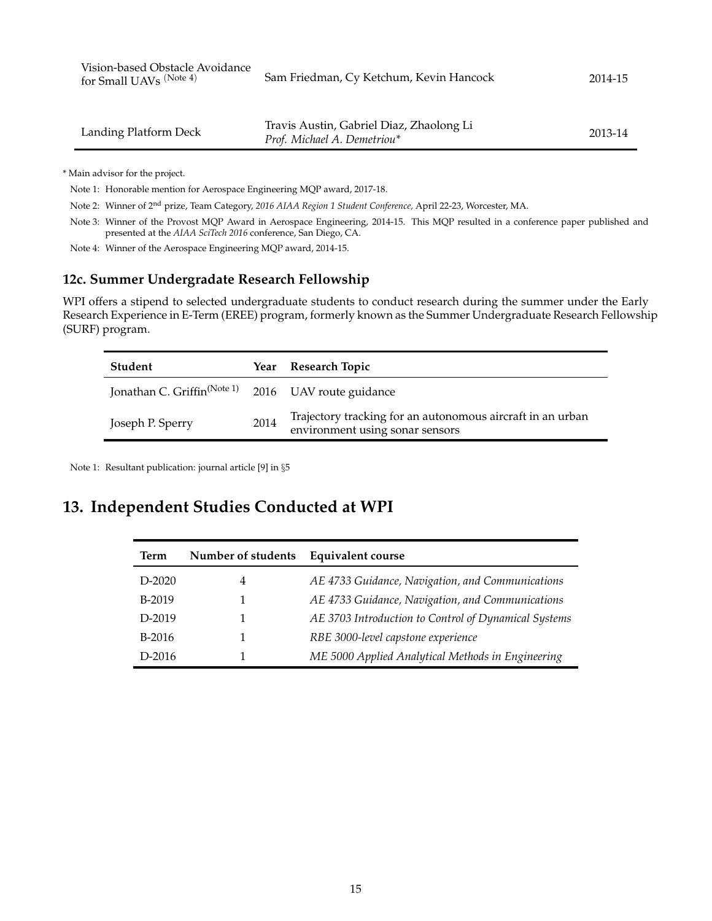| Vision-based Obstacle Avoidance<br>for Small UAVs (Note 4) | Sam Friedman, Cy Ketchum, Kevin Hancock | 2014-15 |
|------------------------------------------------------------|-----------------------------------------|---------|
|                                                            |                                         |         |

| Landing Platform Deck | Travis Austin, Gabriel Diaz, Zhaolong Li | 2013-14 |
|-----------------------|------------------------------------------|---------|
|                       | Prof. Michael A. Demetriou*              |         |

\* Main advisor for the project.

Note 1: Honorable mention for Aerospace Engineering MQP award, 2017-18.

Note 2: Winner of 2nd prize, Team Category, *2016 AIAA Region 1 Student Conference,* April 22-23, Worcester, MA.

Note 3: Winner of the Provost MQP Award in Aerospace Engineering, 2014-15. This MQP resulted in a conference paper published and presented at the *AIAA SciTech 2016* conference, San Diego, CA.

Note 4: Winner of the Aerospace Engineering MQP award, 2014-15.

#### **12c. Summer Undergradate Research Fellowship**

WPI offers a stipend to selected undergraduate students to conduct research during the summer under the Early Research Experience in E-Term (EREE) program, formerly known as the Summer Undergraduate Research Fellowship (SURF) program.

| Student                                                         | Year | Research Topic                                                                                |
|-----------------------------------------------------------------|------|-----------------------------------------------------------------------------------------------|
| Jonathan C. Griffin <sup>(Note 1)</sup> 2016 UAV route guidance |      |                                                                                               |
| Joseph P. Sperry                                                | 2014 | Trajectory tracking for an autonomous aircraft in an urban<br>environment using sonar sensors |

Note 1: Resultant publication: journal article [9] in §[5](#page-1-0)

## **13. Independent Studies Conducted at WPI**

| Term     | Number of students | <b>Equivalent course</b>                             |
|----------|--------------------|------------------------------------------------------|
| D-2020   | 4                  | AE 4733 Guidance, Navigation, and Communications     |
| B-2019   |                    | AE 4733 Guidance, Navigation, and Communications     |
| D-2019   |                    | AE 3703 Introduction to Control of Dynamical Systems |
| B-2016   |                    | RBE 3000-level capstone experience                   |
| $D-2016$ |                    | ME 5000 Applied Analytical Methods in Engineering    |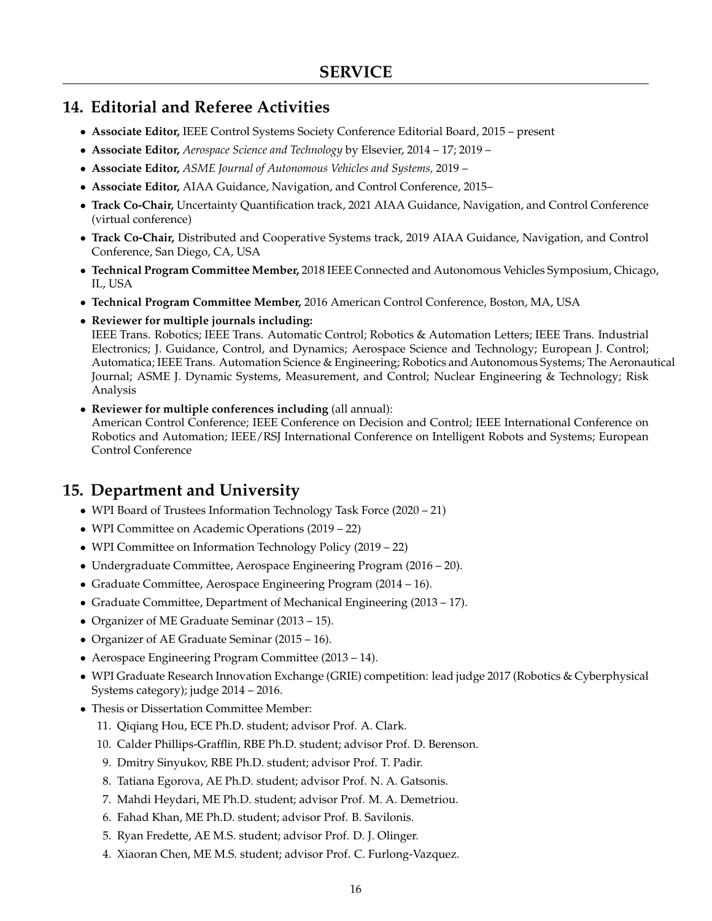## **14. Editorial and Referee Activities**

- **Associate Editor,** IEEE Control Systems Society Conference Editorial Board, 2015 present
- **Associate Editor,** *Aerospace Science and Technology* by Elsevier, 2014 17; 2019 –
- **Associate Editor,** *ASME Journal of Autonomous Vehicles and Systems,* 2019 –
- **Associate Editor,** AIAA Guidance, Navigation, and Control Conference, 2015–
- **Track Co-Chair,** Uncertainty Quantification track, 2021 AIAA Guidance, Navigation, and Control Conference (virtual conference)
- **Track Co-Chair,** Distributed and Cooperative Systems track, 2019 AIAA Guidance, Navigation, and Control Conference, San Diego, CA, USA
- **Technical Program Committee Member,** 2018 IEEE Connected and Autonomous Vehicles Symposium, Chicago, IL, USA
- **Technical Program Committee Member,** 2016 American Control Conference, Boston, MA, USA
- **Reviewer for multiple journals including:**

IEEE Trans. Robotics; IEEE Trans. Automatic Control; Robotics & Automation Letters; IEEE Trans. Industrial Electronics; J. Guidance, Control, and Dynamics; Aerospace Science and Technology; European J. Control; Automatica; IEEE Trans. Automation Science & Engineering; Robotics and Autonomous Systems; The Aeronautical Journal; ASME J. Dynamic Systems, Measurement, and Control; Nuclear Engineering & Technology; Risk Analysis

• **Reviewer for multiple conferences including** (all annual): American Control Conference; IEEE Conference on Decision and Control; IEEE International Conference on Robotics and Automation; IEEE/RSJ International Conference on Intelligent Robots and Systems; European Control Conference

## **15. Department and University**

- WPI Board of Trustees Information Technology Task Force (2020 21)
- WPI Committee on Academic Operations (2019 22)
- WPI Committee on Information Technology Policy (2019 22)
- Undergraduate Committee, Aerospace Engineering Program (2016 20).
- Graduate Committee, Aerospace Engineering Program (2014 16).
- Graduate Committee, Department of Mechanical Engineering (2013 17).
- Organizer of ME Graduate Seminar (2013 15).
- Organizer of AE Graduate Seminar (2015 16).
- Aerospace Engineering Program Committee (2013 14).
- WPI Graduate Research Innovation Exchange (GRIE) competition: lead judge 2017 (Robotics & Cyberphysical Systems category); judge 2014 – 2016.
- Thesis or Dissertation Committee Member:
	- 11. Qiqiang Hou, ECE Ph.D. student; advisor Prof. A. Clark.
	- 10. Calder Phillips-Grafflin, RBE Ph.D. student; advisor Prof. D. Berenson.
	- 9. Dmitry Sinyukov, RBE Ph.D. student; advisor Prof. T. Padir.
	- 8. Tatiana Egorova, AE Ph.D. student; advisor Prof. N. A. Gatsonis.
	- 7. Mahdi Heydari, ME Ph.D. student; advisor Prof. M. A. Demetriou.
	- 6. Fahad Khan, ME Ph.D. student; advisor Prof. B. Savilonis.
	- 5. Ryan Fredette, AE M.S. student; advisor Prof. D. J. Olinger.
	- 4. Xiaoran Chen, ME M.S. student; advisor Prof. C. Furlong-Vazquez.